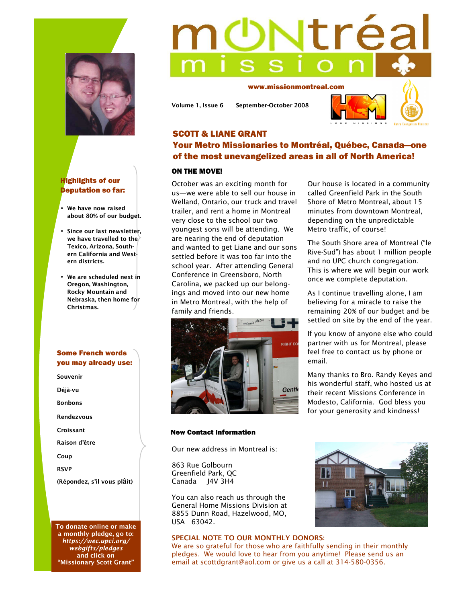



- **We have now raised about 80% of our budget.**
- **Since our last newsletter,**  we have travelled to the<sup> $\rangle$ </sup> **Texico, Arizona, Southern California and Western districts.**
- **We are scheduled next in Oregon, Washington, Rocky Mountain and Nebraska, then home for Christmas.**

# Some French words you may already use:

**Souvenir Déjà-vu Bonbons Rendezvous Croissant Raison d'être Coup RSVP (Répondez, s'il vous plâit)** 

**To donate online or make a monthly pledge, go to:**  *https://wec.upci.org/ webgifts/pledges* **and click on "Missionary Scott Grant"** 

# trea

www.missionmontreal.com

**Volume 1, Issue 6 September-October 2008** 



# SCOTT & LIANE GRANT Your Metro Missionaries to Montréal, Québec, Canada—one of the most unevangelized areas in all of North America!

### ON THE MOVE!

October was an exciting month for us—we were able to sell our house in Welland, Ontario, our truck and travel trailer, and rent a home in Montreal very close to the school our two youngest sons will be attending. We are nearing the end of deputation and wanted to get Liane and our sons settled before it was too far into the school year. After attending General Conference in Greensboro, North Carolina, we packed up our belongings and moved into our new home in Metro Montreal, with the help of family and friends.



### New Contact Information

Our new address in Montreal is:

863 Rue Golbourn Greenfield Park, QC Canada J4V 3H4

You can also reach us through the General Home Missions Division at 8855 Dunn Road, Hazelwood, MO, USA 63042.

## **SPECIAL NOTE TO OUR MONTHLY DONORS:**

<u>ur</u>  $\mathbf{I}$ 

We are so grateful for those who are faithfully sending in their monthly pledges. We would love to hear from you anytime! Please send us an email at scottdgrant@aol.com or give us a call at 314-580-0356.



Our house is located in a community called Greenfield Park in the South Shore of Metro Montreal, about 15 minutes from downtown Montreal, depending on the unpredictable Metro traffic, of course!

The South Shore area of Montreal ("le Rive-Sud") has about 1 million people and no UPC church congregation. This is where we will begin our work once we complete deputation.

As I continue travelling alone, I am believing for a miracle to raise the remaining 20% of our budget and be settled on site by the end of the year.

If you know of anyone else who could partner with us for Montreal, please feel free to contact us by phone or email.

Many thanks to Bro. Randy Keyes and his wonderful staff, who hosted us at their recent Missions Conference in Modesto, California. God bless you for your generosity and kindness!